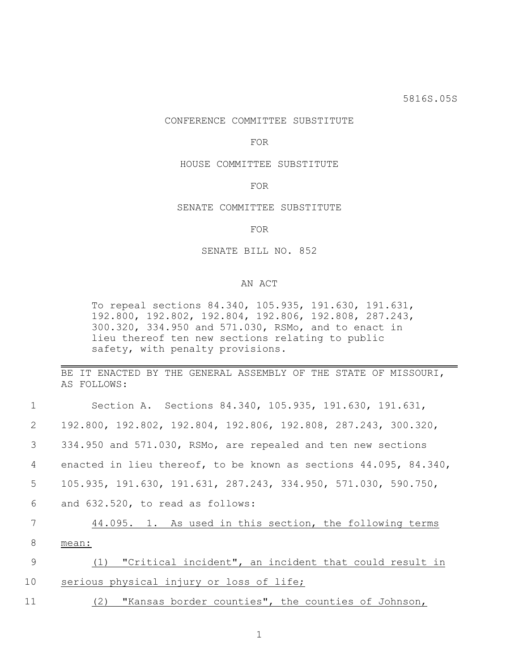5816S.05S

# CONFERENCE COMMITTEE SUBSTITUTE

## FOR

## HOUSE COMMITTEE SUBSTITUTE

#### FOR

# SENATE COMMITTEE SUBSTITUTE

FOR

## SENATE BILL NO. 852

#### AN ACT

To repeal sections 84.340, 105.935, 191.630, 191.631, 192.800, 192.802, 192.804, 192.806, 192.808, 287.243, 300.320, 334.950 and 571.030, RSMo, and to enact in lieu thereof ten new sections relating to public safety, with penalty provisions.

BE IT ENACTED BY THE GENERAL ASSEMBLY OF THE STATE OF MISSOURI, AS FOLLOWS:

| $\mathbf 1$ | Section A. Sections 84.340, 105.935, 191.630, 191.631,           |
|-------------|------------------------------------------------------------------|
| 2           | 192.800, 192.802, 192.804, 192.806, 192.808, 287.243, 300.320,   |
| 3           | 334.950 and 571.030, RSMo, are repealed and ten new sections     |
| 4           | enacted in lieu thereof, to be known as sections 44.095, 84.340, |
| 5           | 105.935, 191.630, 191.631, 287.243, 334.950, 571.030, 590.750,   |
| 6           | and 632.520, to read as follows:                                 |
| 7           | 44.095. 1. As used in this section, the following terms          |
| 8           | mean:                                                            |
| 9           | (1) "Critical incident", an incident that could result in        |
| 10          | serious physical injury or loss of life;                         |
| 11          | (2) "Kansas border counties", the counties of Johnson,           |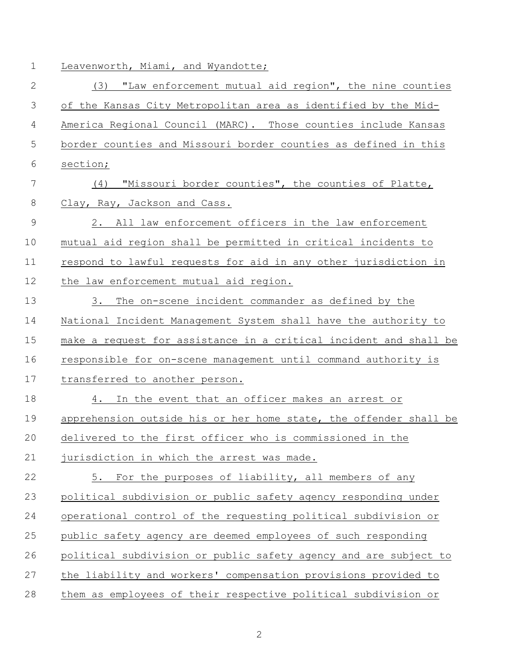1 Leavenworth, Miami, and Wyandotte;

| $\overline{2}$ | "Law enforcement mutual aid region", the nine counties<br>(3)     |
|----------------|-------------------------------------------------------------------|
| 3              | of the Kansas City Metropolitan area as identified by the Mid-    |
| $\overline{4}$ | America Regional Council (MARC). Those counties include Kansas    |
| 5              | border counties and Missouri border counties as defined in this   |
| 6              | section;                                                          |
| 7              | "Missouri border counties", the counties of Platte,<br>(4)        |
| 8              | Clay, Ray, Jackson and Cass.                                      |
| $\overline{9}$ | 2. All law enforcement officers in the law enforcement            |
| 10             | mutual aid region shall be permitted in critical incidents to     |
| 11             | respond to lawful requests for aid in any other jurisdiction in   |
| 12             | the law enforcement mutual aid region.                            |
| 13             | The on-scene incident commander as defined by the<br>3.           |
| 14             | National Incident Management System shall have the authority to   |
| 15             | make a request for assistance in a critical incident and shall be |
| 16             | responsible for on-scene management until command authority is    |
| 17             | transferred to another person.                                    |
| 18             | 4. In the event that an officer makes an arrest or                |
| 19             | apprehension outside his or her home state, the offender shall be |
| 20             | delivered to the first officer who is commissioned in the         |
| 21             | jurisdiction in which the arrest was made.                        |
| 22             | 5. For the purposes of liability, all members of any              |
| 23             | political subdivision or public safety agency responding under    |
| 24             | operational control of the requesting political subdivision or    |
| 25             | public safety agency are deemed employees of such responding      |
| 26             | political subdivision or public safety agency and are subject to  |
| 27             | the liability and workers' compensation provisions provided to    |
| 28             | them as employees of their respective political subdivision or    |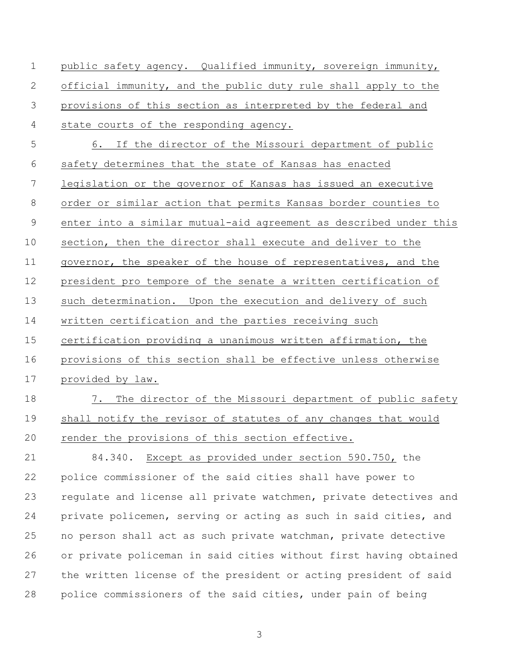public safety agency. Qualified immunity, sovereign immunity, official immunity, and the public duty rule shall apply to the provisions of this section as interpreted by the federal and state courts of the responding agency. 6. If the director of the Missouri department of public safety determines that the state of Kansas has enacted legislation or the governor of Kansas has issued an executive order or similar action that permits Kansas border counties to enter into a similar mutual-aid agreement as described under this section, then the director shall execute and deliver to the governor, the speaker of the house of representatives, and the president pro tempore of the senate a written certification of such determination. Upon the execution and delivery of such written certification and the parties receiving such certification providing a unanimous written affirmation, the provisions of this section shall be effective unless otherwise provided by law. 7. The director of the Missouri department of public safety shall notify the revisor of statutes of any changes that would render the provisions of this section effective. 84.340. Except as provided under section 590.750, the police commissioner of the said cities shall have power to regulate and license all private watchmen, private detectives and private policemen, serving or acting as such in said cities, and no person shall act as such private watchman, private detective or private policeman in said cities without first having obtained the written license of the president or acting president of said police commissioners of the said cities, under pain of being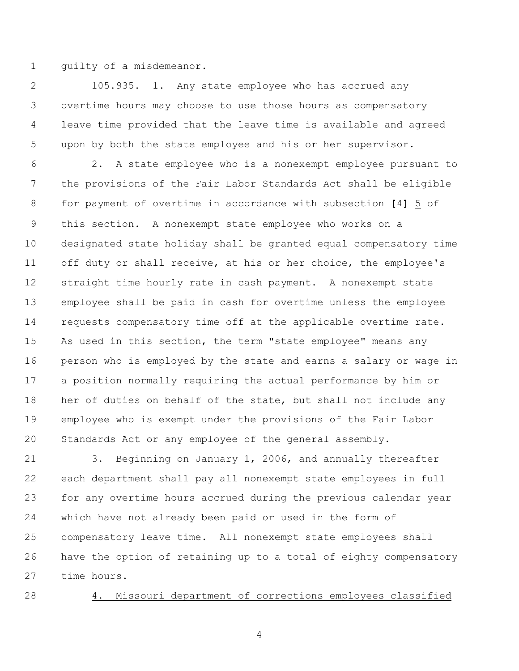1 quilty of a misdemeanor.

 105.935. 1. Any state employee who has accrued any overtime hours may choose to use those hours as compensatory leave time provided that the leave time is available and agreed upon by both the state employee and his or her supervisor.

 2. A state employee who is a nonexempt employee pursuant to the provisions of the Fair Labor Standards Act shall be eligible for payment of overtime in accordance with subsection **[**4**]** 5 of this section. A nonexempt state employee who works on a designated state holiday shall be granted equal compensatory time off duty or shall receive, at his or her choice, the employee's straight time hourly rate in cash payment. A nonexempt state employee shall be paid in cash for overtime unless the employee requests compensatory time off at the applicable overtime rate. As used in this section, the term "state employee" means any person who is employed by the state and earns a salary or wage in a position normally requiring the actual performance by him or 18 her of duties on behalf of the state, but shall not include any employee who is exempt under the provisions of the Fair Labor Standards Act or any employee of the general assembly.

 3. Beginning on January 1, 2006, and annually thereafter each department shall pay all nonexempt state employees in full for any overtime hours accrued during the previous calendar year which have not already been paid or used in the form of compensatory leave time. All nonexempt state employees shall have the option of retaining up to a total of eighty compensatory time hours.

4. Missouri department of corrections employees classified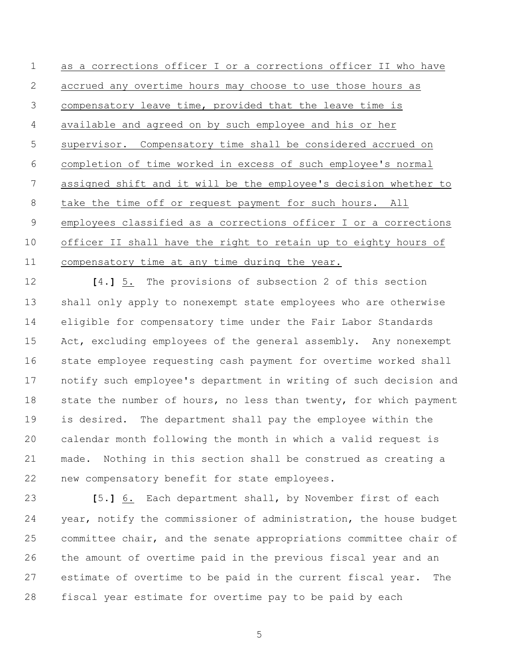as a corrections officer I or a corrections officer II who have accrued any overtime hours may choose to use those hours as compensatory leave time, provided that the leave time is available and agreed on by such employee and his or her supervisor. Compensatory time shall be considered accrued on completion of time worked in excess of such employee's normal assigned shift and it will be the employee's decision whether to take the time off or request payment for such hours. All employees classified as a corrections officer I or a corrections officer II shall have the right to retain up to eighty hours of compensatory time at any time during the year.

 **[**4.**]** 5. The provisions of subsection 2 of this section shall only apply to nonexempt state employees who are otherwise eligible for compensatory time under the Fair Labor Standards 15 Act, excluding employees of the general assembly. Any nonexempt state employee requesting cash payment for overtime worked shall notify such employee's department in writing of such decision and 18 state the number of hours, no less than twenty, for which payment is desired. The department shall pay the employee within the calendar month following the month in which a valid request is made. Nothing in this section shall be construed as creating a new compensatory benefit for state employees.

 **[**5.**]** 6. Each department shall, by November first of each 24 year, notify the commissioner of administration, the house budget committee chair, and the senate appropriations committee chair of the amount of overtime paid in the previous fiscal year and an estimate of overtime to be paid in the current fiscal year. The fiscal year estimate for overtime pay to be paid by each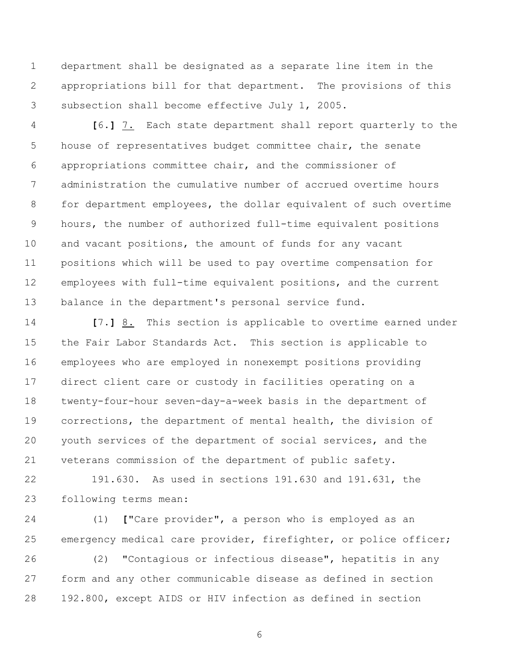department shall be designated as a separate line item in the appropriations bill for that department. The provisions of this subsection shall become effective July 1, 2005.

 **[**6.**]** 7. Each state department shall report quarterly to the house of representatives budget committee chair, the senate appropriations committee chair, and the commissioner of administration the cumulative number of accrued overtime hours for department employees, the dollar equivalent of such overtime hours, the number of authorized full-time equivalent positions and vacant positions, the amount of funds for any vacant positions which will be used to pay overtime compensation for employees with full-time equivalent positions, and the current balance in the department's personal service fund.

 **[**7.**]** 8. This section is applicable to overtime earned under the Fair Labor Standards Act. This section is applicable to employees who are employed in nonexempt positions providing direct client care or custody in facilities operating on a twenty-four-hour seven-day-a-week basis in the department of corrections, the department of mental health, the division of youth services of the department of social services, and the veterans commission of the department of public safety.

 191.630. As used in sections 191.630 and 191.631, the following terms mean:

 (1) **[**"Care provider", a person who is employed as an emergency medical care provider, firefighter, or police officer;

 (2) "Contagious or infectious disease", hepatitis in any form and any other communicable disease as defined in section 192.800, except AIDS or HIV infection as defined in section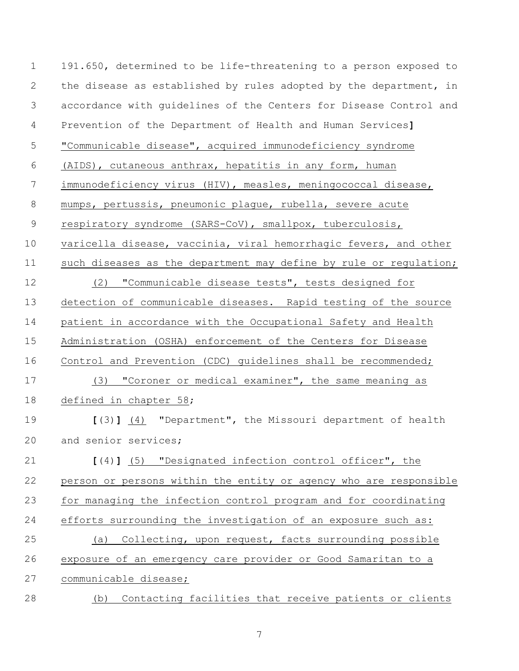191.650, determined to be life-threatening to a person exposed to 2 the disease as established by rules adopted by the department, in accordance with guidelines of the Centers for Disease Control and Prevention of the Department of Health and Human Services**]** "Communicable disease", acquired immunodeficiency syndrome (AIDS), cutaneous anthrax, hepatitis in any form, human immunodeficiency virus (HIV), measles, meningococcal disease, mumps, pertussis, pneumonic plague, rubella, severe acute respiratory syndrome (SARS-CoV), smallpox, tuberculosis, varicella disease, vaccinia, viral hemorrhagic fevers, and other 11 such diseases as the department may define by rule or requlation; (2) "Communicable disease tests", tests designed for 13 detection of communicable diseases. Rapid testing of the source patient in accordance with the Occupational Safety and Health Administration (OSHA) enforcement of the Centers for Disease Control and Prevention (CDC) guidelines shall be recommended; (3) "Coroner or medical examiner", the same meaning as defined in chapter 58; **[**(3)**]** (4) "Department", the Missouri department of health 20 and senior services; **[**(4)**]** (5) "Designated infection control officer", the person or persons within the entity or agency who are responsible for managing the infection control program and for coordinating efforts surrounding the investigation of an exposure such as: (a) Collecting, upon request, facts surrounding possible exposure of an emergency care provider or Good Samaritan to a communicable disease; (b) Contacting facilities that receive patients or clients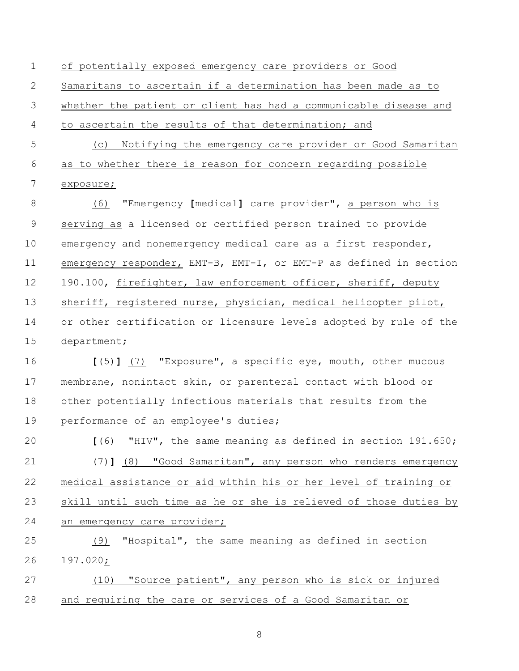of potentially exposed emergency care providers or Good Samaritans to ascertain if a determination has been made as to whether the patient or client has had a communicable disease and to ascertain the results of that determination; and (c) Notifying the emergency care provider or Good Samaritan as to whether there is reason for concern regarding possible exposure; (6) "Emergency **[**medical**]** care provider", a person who is serving as a licensed or certified person trained to provide emergency and nonemergency medical care as a first responder, emergency responder, EMT-B, EMT-I, or EMT-P as defined in section 190.100, firefighter, law enforcement officer, sheriff, deputy 13 sheriff, registered nurse, physician, medical helicopter pilot, or other certification or licensure levels adopted by rule of the department; **[**(5)**]** (7) "Exposure", a specific eye, mouth, other mucous membrane, nonintact skin, or parenteral contact with blood or other potentially infectious materials that results from the performance of an employee's duties; **[**(6) "HIV", the same meaning as defined in section 191.650; (7)**]** (8) "Good Samaritan", any person who renders emergency medical assistance or aid within his or her level of training or skill until such time as he or she is relieved of those duties by 24 an emergency care provider; (9) "Hospital", the same meaning as defined in section 197.020; (10) "Source patient", any person who is sick or injured 28 and requiring the care or services of a Good Samaritan or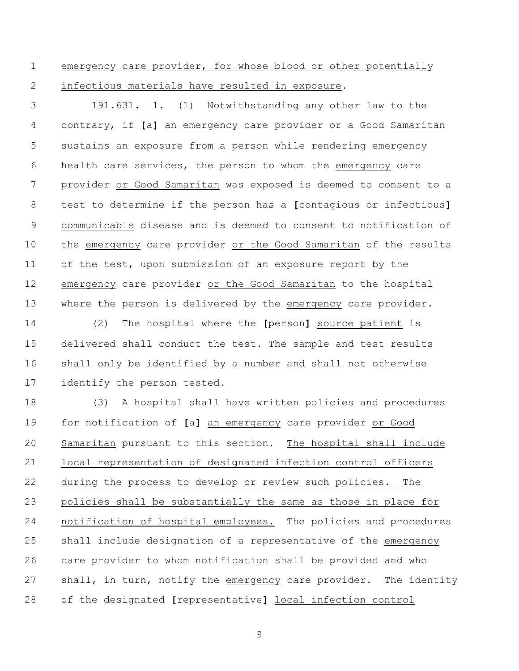emergency care provider, for whose blood or other potentially infectious materials have resulted in exposure.

 191.631. 1. (1) Notwithstanding any other law to the contrary, if **[**a**]** an emergency care provider or a Good Samaritan sustains an exposure from a person while rendering emergency health care services, the person to whom the emergency care provider or Good Samaritan was exposed is deemed to consent to a test to determine if the person has a **[**contagious or infectious**]** communicable disease and is deemed to consent to notification of the emergency care provider or the Good Samaritan of the results 11 of the test, upon submission of an exposure report by the emergency care provider or the Good Samaritan to the hospital 13 where the person is delivered by the emergency care provider.

 (2) The hospital where the **[**person**]** source patient is delivered shall conduct the test. The sample and test results shall only be identified by a number and shall not otherwise identify the person tested.

 (3) A hospital shall have written policies and procedures for notification of **[**a**]** an emergency care provider or Good Samaritan pursuant to this section. The hospital shall include local representation of designated infection control officers during the process to develop or review such policies. The policies shall be substantially the same as those in place for notification of hospital employees. The policies and procedures shall include designation of a representative of the emergency care provider to whom notification shall be provided and who shall, in turn, notify the emergency care provider. The identity of the designated **[**representative**]** local infection control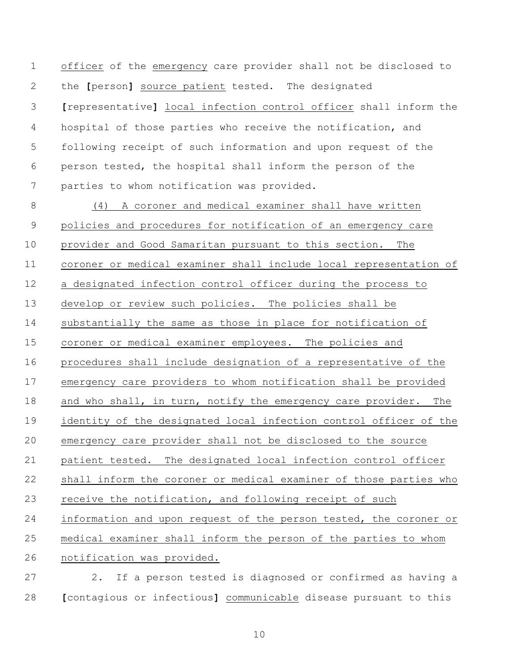officer of the emergency care provider shall not be disclosed to the **[**person**]** source patient tested. The designated **[**representative**]** local infection control officer shall inform the hospital of those parties who receive the notification, and following receipt of such information and upon request of the person tested, the hospital shall inform the person of the parties to whom notification was provided.

 (4) A coroner and medical examiner shall have written policies and procedures for notification of an emergency care provider and Good Samaritan pursuant to this section. The coroner or medical examiner shall include local representation of a designated infection control officer during the process to develop or review such policies. The policies shall be substantially the same as those in place for notification of coroner or medical examiner employees. The policies and procedures shall include designation of a representative of the emergency care providers to whom notification shall be provided 18 and who shall, in turn, notify the emergency care provider. The identity of the designated local infection control officer of the emergency care provider shall not be disclosed to the source patient tested. The designated local infection control officer shall inform the coroner or medical examiner of those parties who receive the notification, and following receipt of such information and upon request of the person tested, the coroner or medical examiner shall inform the person of the parties to whom notification was provided. 2. If a person tested is diagnosed or confirmed as having a

**[**contagious or infectious**]** communicable disease pursuant to this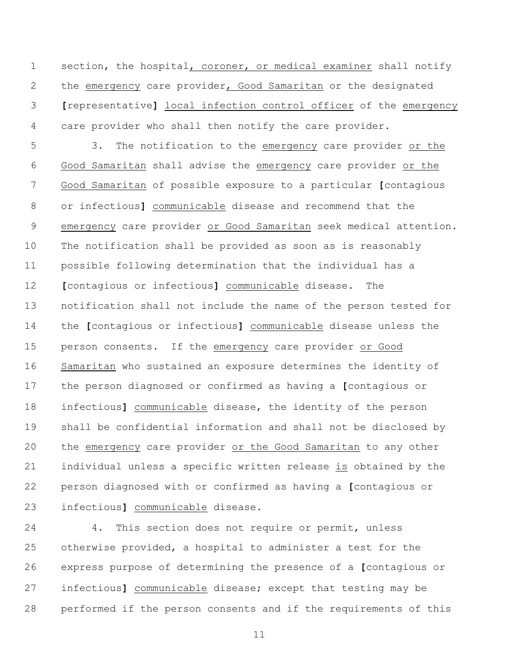section, the hospital, coroner, or medical examiner shall notify the emergency care provider, Good Samaritan or the designated **[**representative**]** local infection control officer of the emergency care provider who shall then notify the care provider.

 3. The notification to the emergency care provider or the Good Samaritan shall advise the emergency care provider or the Good Samaritan of possible exposure to a particular **[**contagious or infectious**]** communicable disease and recommend that the emergency care provider or Good Samaritan seek medical attention. The notification shall be provided as soon as is reasonably possible following determination that the individual has a **[**contagious or infectious**]** communicable disease. The notification shall not include the name of the person tested for the **[**contagious or infectious**]** communicable disease unless the person consents. If the emergency care provider or Good Samaritan who sustained an exposure determines the identity of the person diagnosed or confirmed as having a **[**contagious or infectious**]** communicable disease, the identity of the person shall be confidential information and shall not be disclosed by the emergency care provider or the Good Samaritan to any other individual unless a specific written release is obtained by the person diagnosed with or confirmed as having a **[**contagious or infectious**]** communicable disease.

 4. This section does not require or permit, unless otherwise provided, a hospital to administer a test for the express purpose of determining the presence of a **[**contagious or infectious**]** communicable disease; except that testing may be performed if the person consents and if the requirements of this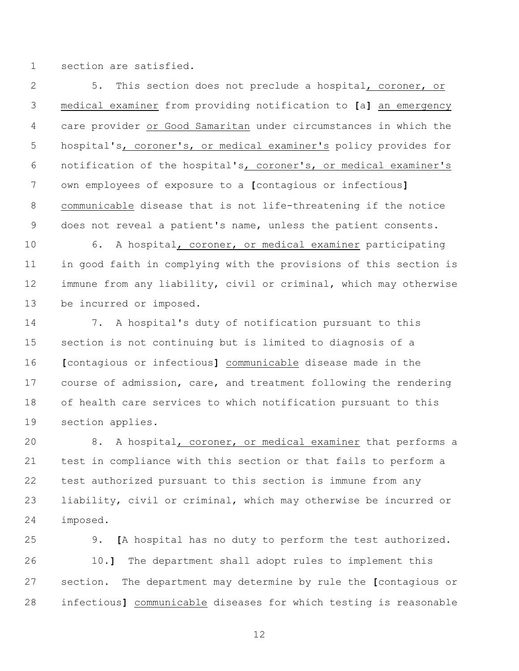section are satisfied.

 5. This section does not preclude a hospital, coroner, or medical examiner from providing notification to **[**a**]** an emergency care provider or Good Samaritan under circumstances in which the hospital's, coroner's, or medical examiner's policy provides for notification of the hospital's, coroner's, or medical examiner's own employees of exposure to a **[**contagious or infectious**]** communicable disease that is not life-threatening if the notice does not reveal a patient's name, unless the patient consents.

 6. A hospital, coroner, or medical examiner participating in good faith in complying with the provisions of this section is immune from any liability, civil or criminal, which may otherwise be incurred or imposed.

 7. A hospital's duty of notification pursuant to this section is not continuing but is limited to diagnosis of a **[**contagious or infectious**]** communicable disease made in the course of admission, care, and treatment following the rendering of health care services to which notification pursuant to this section applies.

 8. A hospital, coroner, or medical examiner that performs a test in compliance with this section or that fails to perform a test authorized pursuant to this section is immune from any liability, civil or criminal, which may otherwise be incurred or imposed.

 9. **[**A hospital has no duty to perform the test authorized. 10.**]** The department shall adopt rules to implement this section. The department may determine by rule the **[**contagious or infectious**]** communicable diseases for which testing is reasonable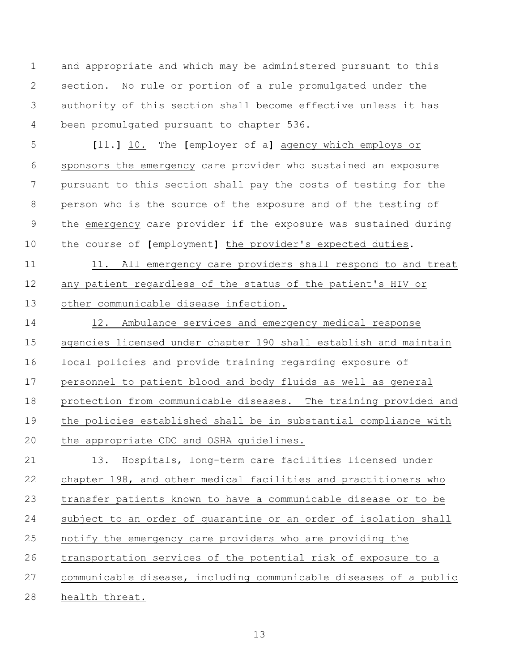and appropriate and which may be administered pursuant to this section. No rule or portion of a rule promulgated under the authority of this section shall become effective unless it has been promulgated pursuant to chapter 536.

 **[**11.**]** 10. The **[**employer of a**]** agency which employs or sponsors the emergency care provider who sustained an exposure pursuant to this section shall pay the costs of testing for the person who is the source of the exposure and of the testing of the emergency care provider if the exposure was sustained during the course of **[**employment**]** the provider's expected duties.

11 11. All emergency care providers shall respond to and treat any patient regardless of the status of the patient's HIV or other communicable disease infection.

14 12. Ambulance services and emergency medical response 15 agencies licensed under chapter 190 shall establish and maintain local policies and provide training regarding exposure of personnel to patient blood and body fluids as well as general protection from communicable diseases. The training provided and the policies established shall be in substantial compliance with 20 the appropriate CDC and OSHA quidelines.

 13. Hospitals, long-term care facilities licensed under chapter 198, and other medical facilities and practitioners who transfer patients known to have a communicable disease or to be subject to an order of quarantine or an order of isolation shall notify the emergency care providers who are providing the transportation services of the potential risk of exposure to a communicable disease, including communicable diseases of a public health threat.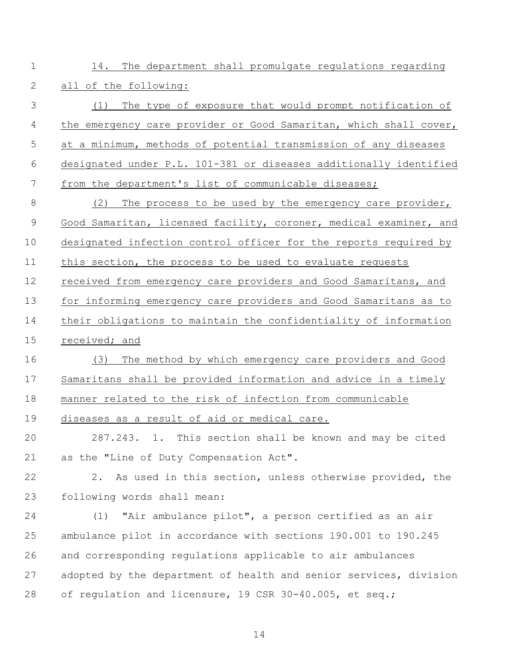- 14. The department shall promulgate regulations regarding all of the following:
- (1) The type of exposure that would prompt notification of 4 the emergency care provider or Good Samaritan, which shall cover, at a minimum, methods of potential transmission of any diseases designated under P.L. 101-381 or diseases additionally identified from the department's list of communicable diseases; (2) The process to be used by the emergency care provider, Good Samaritan, licensed facility, coroner, medical examiner, and designated infection control officer for the reports required by 11 this section, the process to be used to evaluate requests received from emergency care providers and Good Samaritans, and for informing emergency care providers and Good Samaritans as to their obligations to maintain the confidentiality of information received; and (3) The method by which emergency care providers and Good Samaritans shall be provided information and advice in a timely manner related to the risk of infection from communicable diseases as a result of aid or medical care. 287.243. 1. This section shall be known and may be cited as the "Line of Duty Compensation Act". 2. As used in this section, unless otherwise provided, the
- following words shall mean:
- (1) "Air ambulance pilot", a person certified as an air ambulance pilot in accordance with sections 190.001 to 190.245 and corresponding regulations applicable to air ambulances adopted by the department of health and senior services, division 28 of regulation and licensure, 19 CSR 30-40.005, et seq.;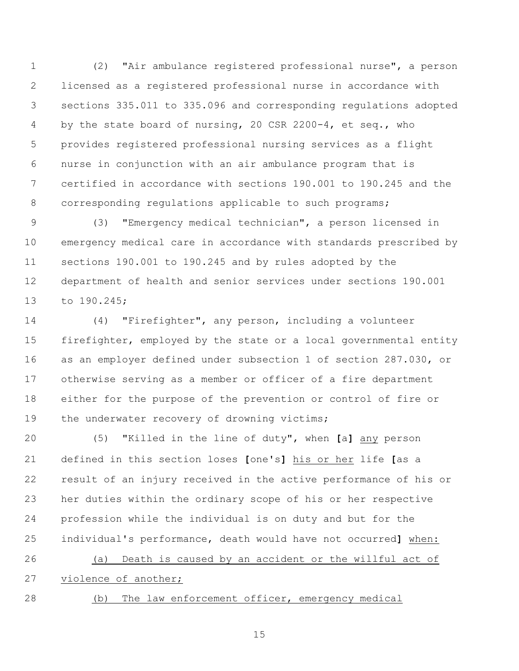(2) "Air ambulance registered professional nurse", a person licensed as a registered professional nurse in accordance with sections 335.011 to 335.096 and corresponding regulations adopted 4 by the state board of nursing, 20 CSR 2200-4, et seq., who provides registered professional nursing services as a flight nurse in conjunction with an air ambulance program that is certified in accordance with sections 190.001 to 190.245 and the corresponding regulations applicable to such programs;

 (3) "Emergency medical technician", a person licensed in emergency medical care in accordance with standards prescribed by sections 190.001 to 190.245 and by rules adopted by the department of health and senior services under sections 190.001 to 190.245;

 (4) "Firefighter", any person, including a volunteer 15 firefighter, employed by the state or a local governmental entity as an employer defined under subsection 1 of section 287.030, or otherwise serving as a member or officer of a fire department either for the purpose of the prevention or control of fire or 19 the underwater recovery of drowning victims;

 (5) "Killed in the line of duty", when **[**a**]** any person defined in this section loses **[**one's**]** his or her life **[**as a result of an injury received in the active performance of his or her duties within the ordinary scope of his or her respective profession while the individual is on duty and but for the individual's performance, death would have not occurred**]** when: (a) Death is caused by an accident or the willful act of violence of another;

- 
- (b) The law enforcement officer, emergency medical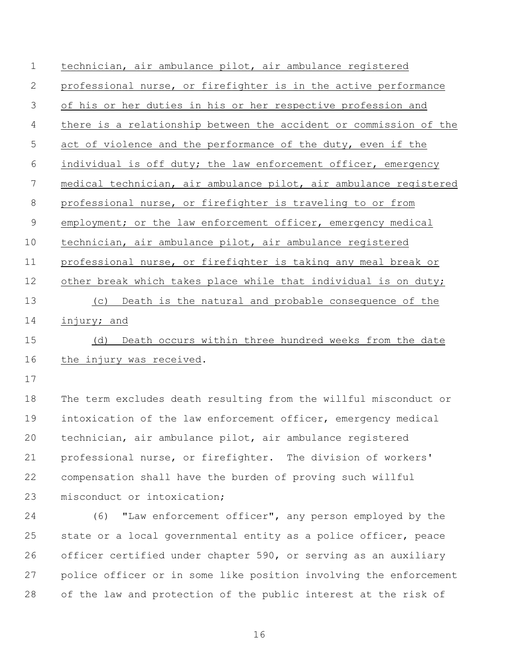| $\mathbf 1$    | technician, air ambulance pilot, air ambulance registered         |
|----------------|-------------------------------------------------------------------|
| 2              | professional nurse, or firefighter is in the active performance   |
| $\mathfrak{Z}$ | of his or her duties in his or her respective profession and      |
| 4              | there is a relationship between the accident or commission of the |
| 5              | act of violence and the performance of the duty, even if the      |
| 6              | individual is off duty; the law enforcement officer, emergency    |
| 7              | medical technician, air ambulance pilot, air ambulance registered |
| 8              | professional nurse, or firefighter is traveling to or from        |
| $\mathcal{G}$  | employment; or the law enforcement officer, emergency medical     |
| 10             | technician, air ambulance pilot, air ambulance registered         |
| 11             | professional nurse, or firefighter is taking any meal break or    |
| 12             | other break which takes place while that individual is on duty;   |
| 13             | Death is the natural and probable consequence of the<br>(C)       |
| 14             | injury; and                                                       |
| 15             | Death occurs within three hundred weeks from the date<br>(d)      |
| 16             | the injury was received.                                          |
| 17             |                                                                   |
| 18             | The term excludes death resulting from the willful misconduct or  |
| 19             | intoxication of the law enforcement officer, emergency medical    |
| 20             | technician, air ambulance pilot, air ambulance registered         |
| 21             | professional nurse, or firefighter. The division of workers'      |
| 22             | compensation shall have the burden of proving such willful        |
| 23             | misconduct or intoxication;                                       |
| 24             | "Law enforcement officer", any person employed by the<br>(6)      |
| 25             | state or a local governmental entity as a police officer, peace   |
| 26             | officer certified under chapter 590, or serving as an auxiliary   |
| 27             | police officer or in some like position involving the enforcement |
| 28             | of the law and protection of the public interest at the risk of   |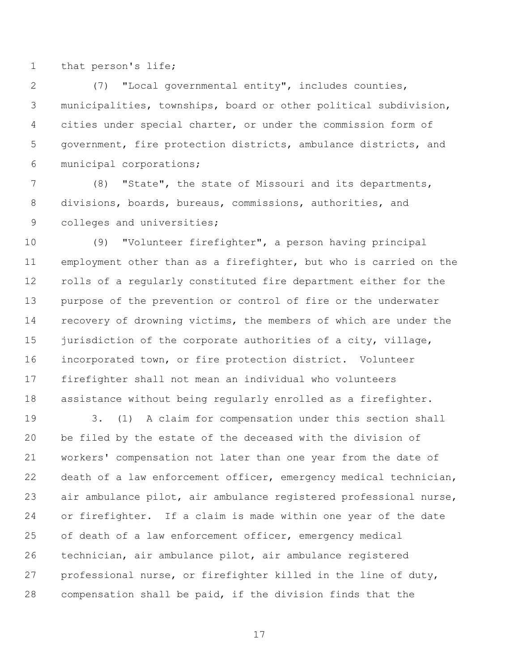that person's life;

 (7) "Local governmental entity", includes counties, municipalities, townships, board or other political subdivision, cities under special charter, or under the commission form of government, fire protection districts, ambulance districts, and municipal corporations;

 (8) "State", the state of Missouri and its departments, divisions, boards, bureaus, commissions, authorities, and 9 colleges and universities;

 (9) "Volunteer firefighter", a person having principal employment other than as a firefighter, but who is carried on the rolls of a regularly constituted fire department either for the purpose of the prevention or control of fire or the underwater recovery of drowning victims, the members of which are under the 15 jurisdiction of the corporate authorities of a city, village, incorporated town, or fire protection district. Volunteer firefighter shall not mean an individual who volunteers assistance without being regularly enrolled as a firefighter.

 3. (1) A claim for compensation under this section shall be filed by the estate of the deceased with the division of workers' compensation not later than one year from the date of death of a law enforcement officer, emergency medical technician, air ambulance pilot, air ambulance registered professional nurse, or firefighter. If a claim is made within one year of the date of death of a law enforcement officer, emergency medical technician, air ambulance pilot, air ambulance registered professional nurse, or firefighter killed in the line of duty, compensation shall be paid, if the division finds that the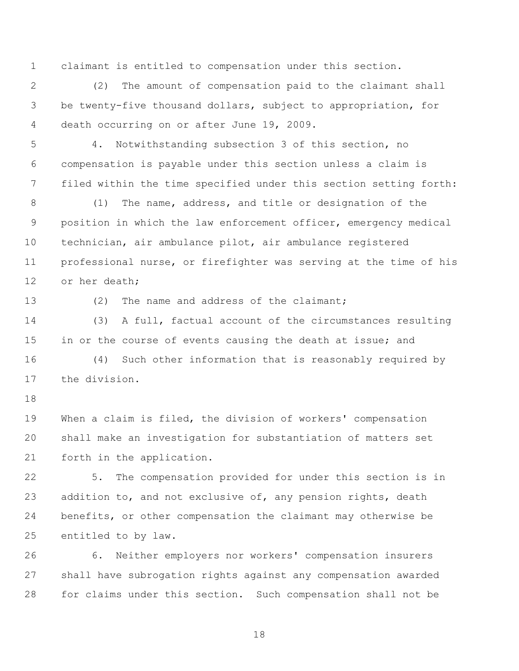claimant is entitled to compensation under this section.

 (2) The amount of compensation paid to the claimant shall be twenty-five thousand dollars, subject to appropriation, for death occurring on or after June 19, 2009.

 4. Notwithstanding subsection 3 of this section, no compensation is payable under this section unless a claim is filed within the time specified under this section setting forth:

 (1) The name, address, and title or designation of the position in which the law enforcement officer, emergency medical technician, air ambulance pilot, air ambulance registered professional nurse, or firefighter was serving at the time of his or her death;

13 (2) The name and address of the claimant;

 (3) A full, factual account of the circumstances resulting 15 in or the course of events causing the death at issue; and

 (4) Such other information that is reasonably required by the division.

 When a claim is filed, the division of workers' compensation shall make an investigation for substantiation of matters set forth in the application.

 5. The compensation provided for under this section is in 23 addition to, and not exclusive of, any pension rights, death benefits, or other compensation the claimant may otherwise be entitled to by law.

 6. Neither employers nor workers' compensation insurers shall have subrogation rights against any compensation awarded for claims under this section. Such compensation shall not be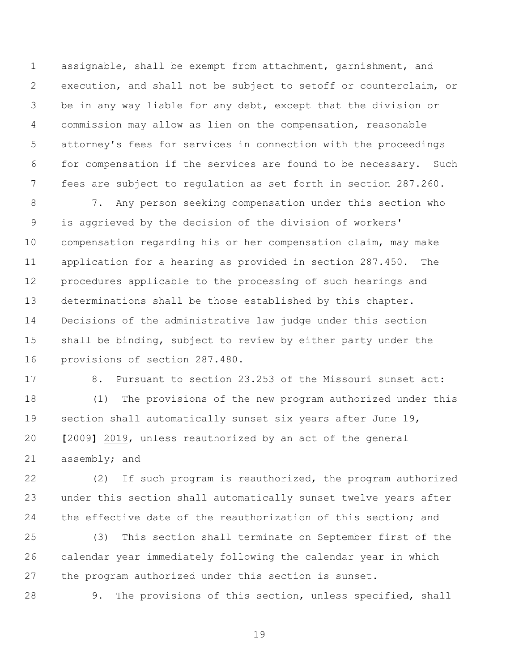assignable, shall be exempt from attachment, garnishment, and execution, and shall not be subject to setoff or counterclaim, or be in any way liable for any debt, except that the division or commission may allow as lien on the compensation, reasonable attorney's fees for services in connection with the proceedings for compensation if the services are found to be necessary. Such fees are subject to regulation as set forth in section 287.260.

 7. Any person seeking compensation under this section who is aggrieved by the decision of the division of workers' compensation regarding his or her compensation claim, may make application for a hearing as provided in section 287.450. The procedures applicable to the processing of such hearings and determinations shall be those established by this chapter. Decisions of the administrative law judge under this section shall be binding, subject to review by either party under the provisions of section 287.480.

 8. Pursuant to section 23.253 of the Missouri sunset act: (1) The provisions of the new program authorized under this section shall automatically sunset six years after June 19, **[**2009**]** 2019, unless reauthorized by an act of the general assembly; and

 (2) If such program is reauthorized, the program authorized under this section shall automatically sunset twelve years after 24 the effective date of the reauthorization of this section; and

 (3) This section shall terminate on September first of the calendar year immediately following the calendar year in which the program authorized under this section is sunset.

9. The provisions of this section, unless specified, shall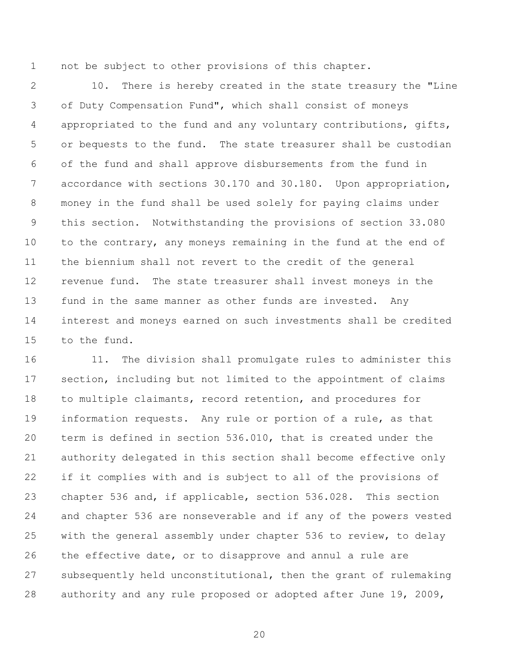not be subject to other provisions of this chapter.

 10. There is hereby created in the state treasury the "Line of Duty Compensation Fund", which shall consist of moneys appropriated to the fund and any voluntary contributions, gifts, or bequests to the fund. The state treasurer shall be custodian of the fund and shall approve disbursements from the fund in accordance with sections 30.170 and 30.180. Upon appropriation, money in the fund shall be used solely for paying claims under this section. Notwithstanding the provisions of section 33.080 to the contrary, any moneys remaining in the fund at the end of the biennium shall not revert to the credit of the general revenue fund. The state treasurer shall invest moneys in the fund in the same manner as other funds are invested. Any interest and moneys earned on such investments shall be credited to the fund.

 11. The division shall promulgate rules to administer this section, including but not limited to the appointment of claims to multiple claimants, record retention, and procedures for information requests. Any rule or portion of a rule, as that term is defined in section 536.010, that is created under the authority delegated in this section shall become effective only if it complies with and is subject to all of the provisions of chapter 536 and, if applicable, section 536.028. This section and chapter 536 are nonseverable and if any of the powers vested with the general assembly under chapter 536 to review, to delay the effective date, or to disapprove and annul a rule are subsequently held unconstitutional, then the grant of rulemaking authority and any rule proposed or adopted after June 19, 2009,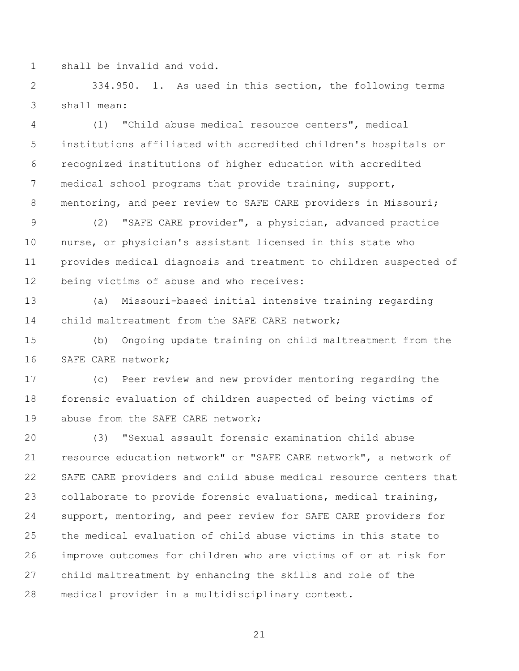shall be invalid and void.

 334.950. 1. As used in this section, the following terms shall mean:

 (1) "Child abuse medical resource centers", medical institutions affiliated with accredited children's hospitals or recognized institutions of higher education with accredited medical school programs that provide training, support, 8 mentoring, and peer review to SAFE CARE providers in Missouri;

 (2) "SAFE CARE provider", a physician, advanced practice nurse, or physician's assistant licensed in this state who provides medical diagnosis and treatment to children suspected of being victims of abuse and who receives:

 (a) Missouri-based initial intensive training regarding 14 child maltreatment from the SAFE CARE network;

 (b) Ongoing update training on child maltreatment from the SAFE CARE network;

 (c) Peer review and new provider mentoring regarding the forensic evaluation of children suspected of being victims of 19 abuse from the SAFE CARE network;

 (3) "Sexual assault forensic examination child abuse resource education network" or "SAFE CARE network", a network of SAFE CARE providers and child abuse medical resource centers that collaborate to provide forensic evaluations, medical training, support, mentoring, and peer review for SAFE CARE providers for the medical evaluation of child abuse victims in this state to improve outcomes for children who are victims of or at risk for child maltreatment by enhancing the skills and role of the medical provider in a multidisciplinary context.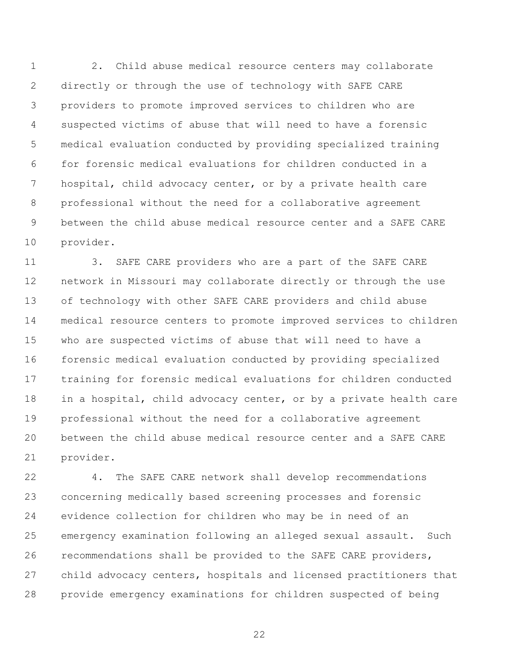2. Child abuse medical resource centers may collaborate directly or through the use of technology with SAFE CARE providers to promote improved services to children who are suspected victims of abuse that will need to have a forensic medical evaluation conducted by providing specialized training for forensic medical evaluations for children conducted in a hospital, child advocacy center, or by a private health care professional without the need for a collaborative agreement between the child abuse medical resource center and a SAFE CARE provider.

 3. SAFE CARE providers who are a part of the SAFE CARE network in Missouri may collaborate directly or through the use of technology with other SAFE CARE providers and child abuse medical resource centers to promote improved services to children who are suspected victims of abuse that will need to have a forensic medical evaluation conducted by providing specialized training for forensic medical evaluations for children conducted in a hospital, child advocacy center, or by a private health care professional without the need for a collaborative agreement between the child abuse medical resource center and a SAFE CARE provider.

 4. The SAFE CARE network shall develop recommendations concerning medically based screening processes and forensic evidence collection for children who may be in need of an emergency examination following an alleged sexual assault. Such recommendations shall be provided to the SAFE CARE providers, child advocacy centers, hospitals and licensed practitioners that provide emergency examinations for children suspected of being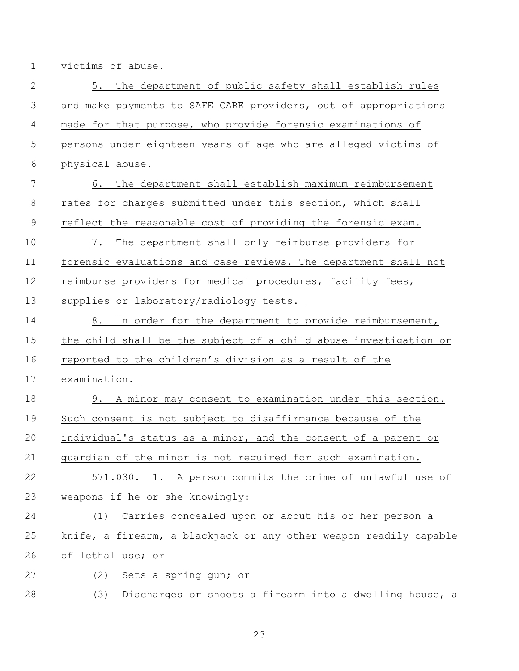victims of abuse.

 5. The department of public safety shall establish rules and make payments to SAFE CARE providers, out of appropriations made for that purpose, who provide forensic examinations of persons under eighteen years of age who are alleged victims of physical abuse. 6. The department shall establish maximum reimbursement 8 rates for charges submitted under this section, which shall 9 reflect the reasonable cost of providing the forensic exam. 7. The department shall only reimburse providers for forensic evaluations and case reviews. The department shall not reimburse providers for medical procedures, facility fees, supplies or laboratory/radiology tests. 14 8. In order for the department to provide reimbursement, the child shall be the subject of a child abuse investigation or reported to the children's division as a result of the examination. 9. A minor may consent to examination under this section. Such consent is not subject to disaffirmance because of the individual's status as a minor, and the consent of a parent or guardian of the minor is not required for such examination. 571.030. 1. A person commits the crime of unlawful use of weapons if he or she knowingly: (1) Carries concealed upon or about his or her person a knife, a firearm, a blackjack or any other weapon readily capable of lethal use; or (2) Sets a spring gun; or (3) Discharges or shoots a firearm into a dwelling house, a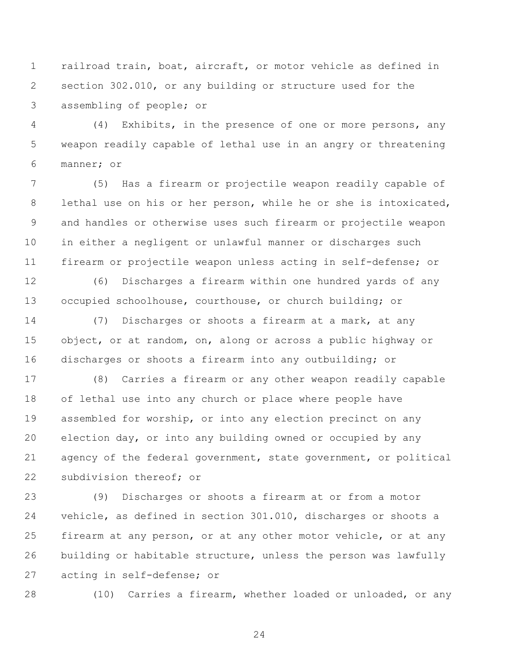railroad train, boat, aircraft, or motor vehicle as defined in section 302.010, or any building or structure used for the assembling of people; or

 (4) Exhibits, in the presence of one or more persons, any weapon readily capable of lethal use in an angry or threatening manner; or

 (5) Has a firearm or projectile weapon readily capable of lethal use on his or her person, while he or she is intoxicated, and handles or otherwise uses such firearm or projectile weapon in either a negligent or unlawful manner or discharges such firearm or projectile weapon unless acting in self-defense; or

 (6) Discharges a firearm within one hundred yards of any occupied schoolhouse, courthouse, or church building; or

 (7) Discharges or shoots a firearm at a mark, at any object, or at random, on, along or across a public highway or discharges or shoots a firearm into any outbuilding; or

 (8) Carries a firearm or any other weapon readily capable of lethal use into any church or place where people have assembled for worship, or into any election precinct on any election day, or into any building owned or occupied by any agency of the federal government, state government, or political subdivision thereof; or

 (9) Discharges or shoots a firearm at or from a motor vehicle, as defined in section 301.010, discharges or shoots a firearm at any person, or at any other motor vehicle, or at any building or habitable structure, unless the person was lawfully acting in self-defense; or

(10) Carries a firearm, whether loaded or unloaded, or any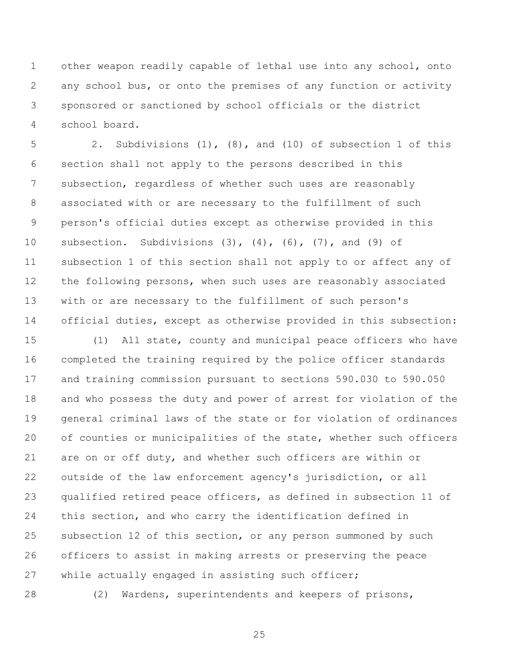other weapon readily capable of lethal use into any school, onto any school bus, or onto the premises of any function or activity sponsored or sanctioned by school officials or the district school board.

 2. Subdivisions (1), (8), and (10) of subsection 1 of this section shall not apply to the persons described in this subsection, regardless of whether such uses are reasonably associated with or are necessary to the fulfillment of such person's official duties except as otherwise provided in this subsection. Subdivisions (3), (4), (6), (7), and (9) of subsection 1 of this section shall not apply to or affect any of the following persons, when such uses are reasonably associated with or are necessary to the fulfillment of such person's official duties, except as otherwise provided in this subsection:

 (1) All state, county and municipal peace officers who have completed the training required by the police officer standards and training commission pursuant to sections 590.030 to 590.050 and who possess the duty and power of arrest for violation of the general criminal laws of the state or for violation of ordinances 20 of counties or municipalities of the state, whether such officers are on or off duty, and whether such officers are within or outside of the law enforcement agency's jurisdiction, or all qualified retired peace officers, as defined in subsection 11 of this section, and who carry the identification defined in subsection 12 of this section, or any person summoned by such officers to assist in making arrests or preserving the peace while actually engaged in assisting such officer;

(2) Wardens, superintendents and keepers of prisons,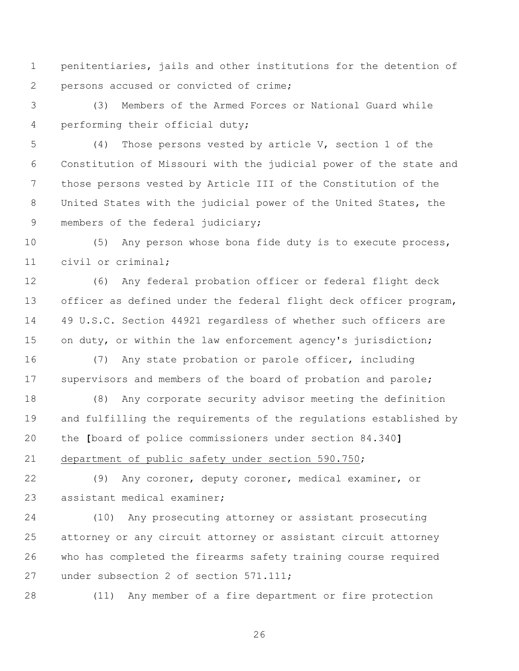penitentiaries, jails and other institutions for the detention of persons accused or convicted of crime;

 (3) Members of the Armed Forces or National Guard while performing their official duty;

 (4) Those persons vested by article V, section 1 of the Constitution of Missouri with the judicial power of the state and those persons vested by Article III of the Constitution of the United States with the judicial power of the United States, the 9 members of the federal judiciary;

 (5) Any person whose bona fide duty is to execute process, civil or criminal;

 (6) Any federal probation officer or federal flight deck 13 officer as defined under the federal flight deck officer program, 49 U.S.C. Section 44921 regardless of whether such officers are 15 on duty, or within the law enforcement agency's jurisdiction;

 (7) Any state probation or parole officer, including supervisors and members of the board of probation and parole;

 (8) Any corporate security advisor meeting the definition and fulfilling the requirements of the regulations established by the **[**board of police commissioners under section 84.340**]**

department of public safety under section 590.750;

 (9) Any coroner, deputy coroner, medical examiner, or assistant medical examiner;

 (10) Any prosecuting attorney or assistant prosecuting attorney or any circuit attorney or assistant circuit attorney who has completed the firearms safety training course required 27 under subsection 2 of section 571.111;

(11) Any member of a fire department or fire protection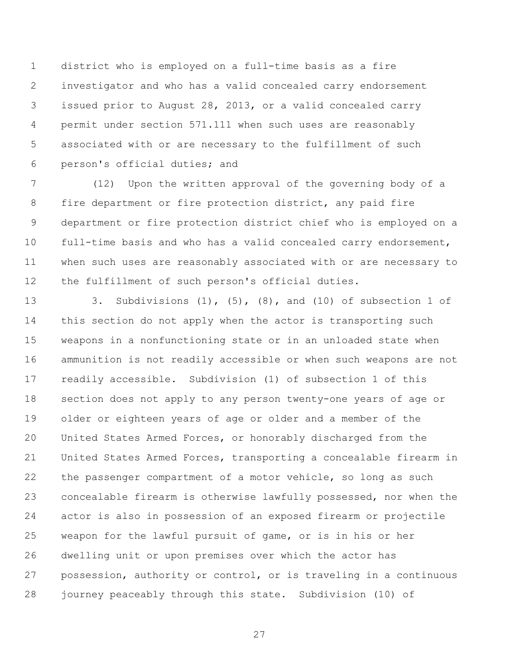district who is employed on a full-time basis as a fire investigator and who has a valid concealed carry endorsement issued prior to August 28, 2013, or a valid concealed carry permit under section 571.111 when such uses are reasonably associated with or are necessary to the fulfillment of such person's official duties; and

 (12) Upon the written approval of the governing body of a fire department or fire protection district, any paid fire department or fire protection district chief who is employed on a full-time basis and who has a valid concealed carry endorsement, when such uses are reasonably associated with or are necessary to the fulfillment of such person's official duties.

 3. Subdivisions (1), (5), (8), and (10) of subsection 1 of this section do not apply when the actor is transporting such weapons in a nonfunctioning state or in an unloaded state when ammunition is not readily accessible or when such weapons are not readily accessible. Subdivision (1) of subsection 1 of this section does not apply to any person twenty-one years of age or older or eighteen years of age or older and a member of the United States Armed Forces, or honorably discharged from the United States Armed Forces, transporting a concealable firearm in the passenger compartment of a motor vehicle, so long as such concealable firearm is otherwise lawfully possessed, nor when the actor is also in possession of an exposed firearm or projectile weapon for the lawful pursuit of game, or is in his or her dwelling unit or upon premises over which the actor has possession, authority or control, or is traveling in a continuous journey peaceably through this state. Subdivision (10) of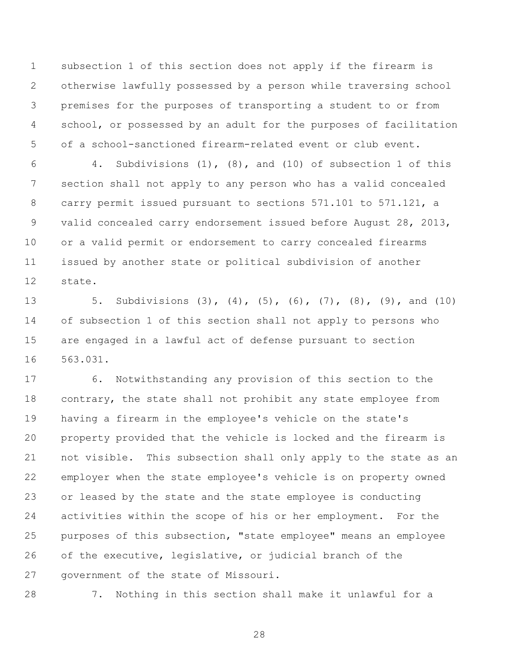subsection 1 of this section does not apply if the firearm is otherwise lawfully possessed by a person while traversing school premises for the purposes of transporting a student to or from school, or possessed by an adult for the purposes of facilitation of a school-sanctioned firearm-related event or club event.

 4. Subdivisions (1), (8), and (10) of subsection 1 of this section shall not apply to any person who has a valid concealed carry permit issued pursuant to sections 571.101 to 571.121, a valid concealed carry endorsement issued before August 28, 2013, or a valid permit or endorsement to carry concealed firearms issued by another state or political subdivision of another state.

 5. Subdivisions (3), (4), (5), (6), (7), (8), (9), and (10) of subsection 1 of this section shall not apply to persons who are engaged in a lawful act of defense pursuant to section 563.031.

 6. Notwithstanding any provision of this section to the contrary, the state shall not prohibit any state employee from having a firearm in the employee's vehicle on the state's property provided that the vehicle is locked and the firearm is not visible. This subsection shall only apply to the state as an employer when the state employee's vehicle is on property owned or leased by the state and the state employee is conducting activities within the scope of his or her employment. For the purposes of this subsection, "state employee" means an employee of the executive, legislative, or judicial branch of the government of the state of Missouri.

7. Nothing in this section shall make it unlawful for a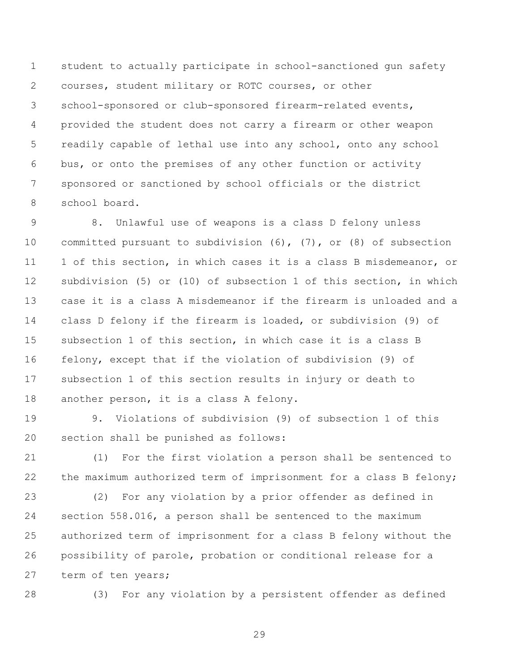student to actually participate in school-sanctioned gun safety courses, student military or ROTC courses, or other school-sponsored or club-sponsored firearm-related events, provided the student does not carry a firearm or other weapon readily capable of lethal use into any school, onto any school bus, or onto the premises of any other function or activity sponsored or sanctioned by school officials or the district school board.

 8. Unlawful use of weapons is a class D felony unless committed pursuant to subdivision (6), (7), or (8) of subsection 1 of this section, in which cases it is a class B misdemeanor, or subdivision (5) or (10) of subsection 1 of this section, in which case it is a class A misdemeanor if the firearm is unloaded and a class D felony if the firearm is loaded, or subdivision (9) of subsection 1 of this section, in which case it is a class B felony, except that if the violation of subdivision (9) of subsection 1 of this section results in injury or death to another person, it is a class A felony.

 9. Violations of subdivision (9) of subsection 1 of this section shall be punished as follows:

 (1) For the first violation a person shall be sentenced to the maximum authorized term of imprisonment for a class B felony;

 (2) For any violation by a prior offender as defined in section 558.016, a person shall be sentenced to the maximum authorized term of imprisonment for a class B felony without the possibility of parole, probation or conditional release for a term of ten years;

(3) For any violation by a persistent offender as defined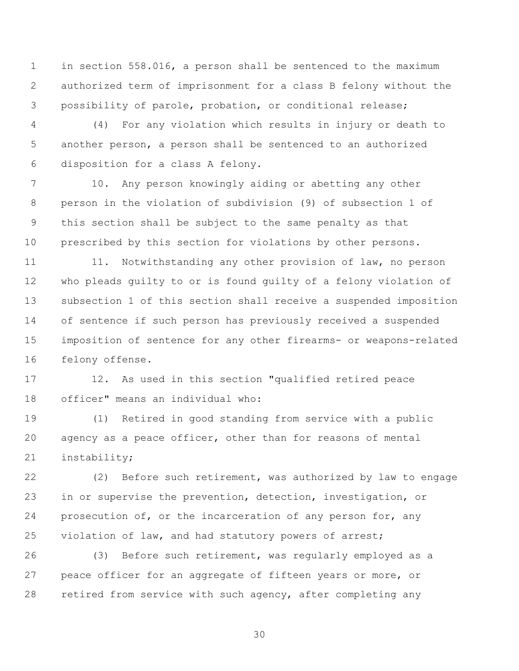in section 558.016, a person shall be sentenced to the maximum authorized term of imprisonment for a class B felony without the possibility of parole, probation, or conditional release;

 (4) For any violation which results in injury or death to another person, a person shall be sentenced to an authorized disposition for a class A felony.

 10. Any person knowingly aiding or abetting any other person in the violation of subdivision (9) of subsection 1 of this section shall be subject to the same penalty as that prescribed by this section for violations by other persons.

11 11. Notwithstanding any other provision of law, no person who pleads guilty to or is found guilty of a felony violation of subsection 1 of this section shall receive a suspended imposition of sentence if such person has previously received a suspended imposition of sentence for any other firearms- or weapons-related felony offense.

 12. As used in this section "qualified retired peace officer" means an individual who:

 (1) Retired in good standing from service with a public agency as a peace officer, other than for reasons of mental instability;

 (2) Before such retirement, was authorized by law to engage in or supervise the prevention, detection, investigation, or 24 prosecution of, or the incarceration of any person for, any 25 violation of law, and had statutory powers of arrest;

 (3) Before such retirement, was regularly employed as a peace officer for an aggregate of fifteen years or more, or retired from service with such agency, after completing any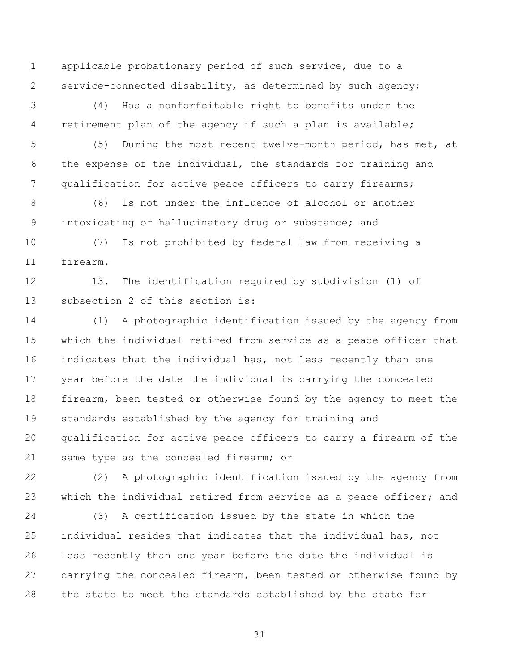applicable probationary period of such service, due to a service-connected disability, as determined by such agency;

 (4) Has a nonforfeitable right to benefits under the retirement plan of the agency if such a plan is available;

 (5) During the most recent twelve-month period, has met, at the expense of the individual, the standards for training and qualification for active peace officers to carry firearms;

 (6) Is not under the influence of alcohol or another intoxicating or hallucinatory drug or substance; and

 (7) Is not prohibited by federal law from receiving a firearm.

 13. The identification required by subdivision (1) of subsection 2 of this section is:

 (1) A photographic identification issued by the agency from which the individual retired from service as a peace officer that indicates that the individual has, not less recently than one year before the date the individual is carrying the concealed firearm, been tested or otherwise found by the agency to meet the standards established by the agency for training and qualification for active peace officers to carry a firearm of the same type as the concealed firearm; or

 (2) A photographic identification issued by the agency from 23 which the individual retired from service as a peace officer; and

 (3) A certification issued by the state in which the individual resides that indicates that the individual has, not less recently than one year before the date the individual is 27 carrying the concealed firearm, been tested or otherwise found by the state to meet the standards established by the state for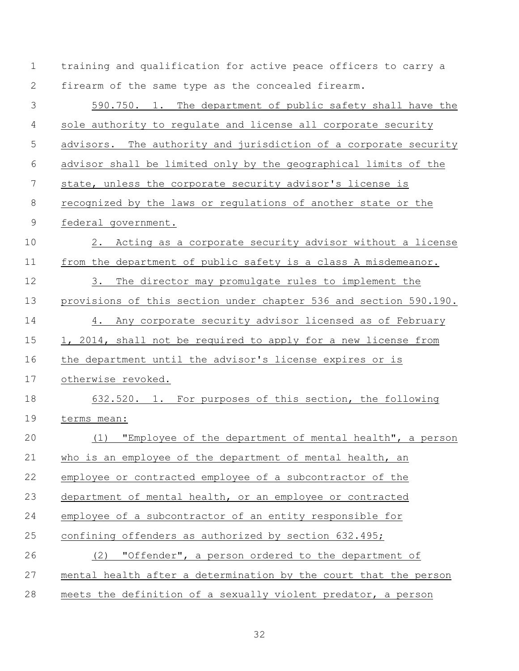| $\mathbf 1$ | training and qualification for active peace officers to carry a   |
|-------------|-------------------------------------------------------------------|
| 2           | firearm of the same type as the concealed firearm.                |
| 3           | 590.750. 1. The department of public safety shall have the        |
| 4           | sole authority to regulate and license all corporate security     |
| 5           | advisors. The authority and jurisdiction of a corporate security  |
| 6           | advisor shall be limited only by the geographical limits of the   |
| 7           | state, unless the corporate security advisor's license is         |
| 8           | recognized by the laws or regulations of another state or the     |
| $\mathsf 9$ | federal government.                                               |
| 10          | 2. Acting as a corporate security advisor without a license       |
| 11          | from the department of public safety is a class A misdemeanor.    |
| 12          | 3.<br>The director may promulgate rules to implement the          |
| 13          | provisions of this section under chapter 536 and section 590.190. |
| 14          | 4. Any corporate security advisor licensed as of February         |
| 15          | 1, 2014, shall not be required to apply for a new license from    |
| 16          | the department until the advisor's license expires or is          |
| 17          | otherwise revoked.                                                |
| 18          | 632.520. 1. For purposes of this section, the following           |
| 19          | terms mean:                                                       |
| 20          | (1) "Employee of the department of mental health", a person       |
| 21          | who is an employee of the department of mental health, an         |
| 22          | employee or contracted employee of a subcontractor of the         |
| 23          | department of mental health, or an employee or contracted         |
| 24          | employee of a subcontractor of an entity responsible for          |
| 25          | confining offenders as authorized by section 632.495;             |
| 26          | "Offender", a person ordered to the department of<br>(2)          |
| 27          | mental health after a determination by the court that the person  |
| 28          | meets the definition of a sexually violent predator, a person     |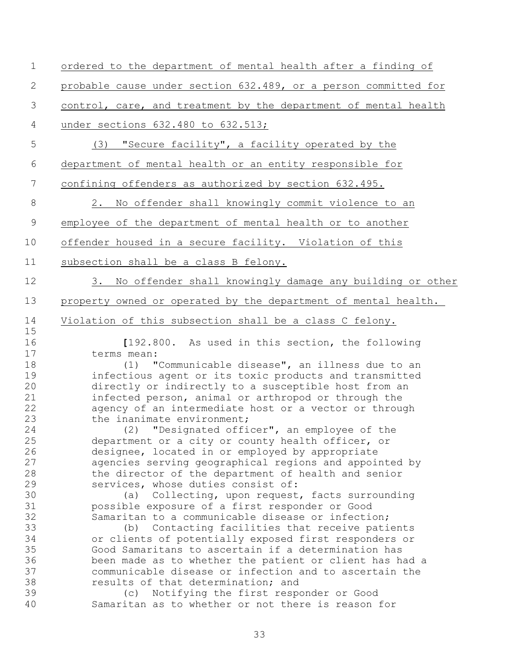| $\mathbf 1$    | ordered to the department of mental health after a finding of                                              |
|----------------|------------------------------------------------------------------------------------------------------------|
| $\overline{2}$ | probable cause under section 632.489, or a person committed for                                            |
| 3              | control, care, and treatment by the department of mental health                                            |
| 4              | under sections 632.480 to 632.513;                                                                         |
| 5              | (3) "Secure facility", a facility operated by the                                                          |
| 6              | department of mental health or an entity responsible for                                                   |
| 7              | confining offenders as authorized by section 632.495.                                                      |
| 8              | 2. No offender shall knowingly commit violence to an                                                       |
| $\mathsf 9$    | employee of the department of mental health or to another                                                  |
| 10             | offender housed in a secure facility. Violation of this                                                    |
| 11             | subsection shall be a class B felony.                                                                      |
| 12             | 3. No offender shall knowingly damage any building or other                                                |
| 13             | property owned or operated by the department of mental health.                                             |
| 14             | Violation of this subsection shall be a class C felony.                                                    |
| 15<br>16       | [192.800. As used in this section, the following                                                           |
| 17             | terms mean:                                                                                                |
| 18<br>19       | (1) "Communicable disease", an illness due to an<br>infectious agent or its toxic products and transmitted |
| 20             | directly or indirectly to a susceptible host from an                                                       |
| 21             | infected person, animal or arthropod or through the                                                        |
| 22             | agency of an intermediate host or a vector or through                                                      |
| 23             | the inanimate environment;                                                                                 |
| 24             | (2) "Designated officer", an employee of the                                                               |
| 25             | department or a city or county health officer, or                                                          |
| 26             | designee, located in or employed by appropriate                                                            |
| 27             | agencies serving geographical regions and appointed by                                                     |
| 28             | the director of the department of health and senior                                                        |
| 29             | services, whose duties consist of:                                                                         |
| 30<br>31       | Collecting, upon request, facts surrounding<br>(a)                                                         |
| 32             | possible exposure of a first responder or Good<br>Samaritan to a communicable disease or infection;        |
| 33             | (b) Contacting facilities that receive patients                                                            |
| 34             | or clients of potentially exposed first responders or                                                      |
| 35             | Good Samaritans to ascertain if a determination has                                                        |
| 36             | been made as to whether the patient or client has had a                                                    |
| 37             | communicable disease or infection and to ascertain the                                                     |
| 38             |                                                                                                            |
|                | results of that determination; and                                                                         |
| 39             | (c) Notifying the first responder or Good                                                                  |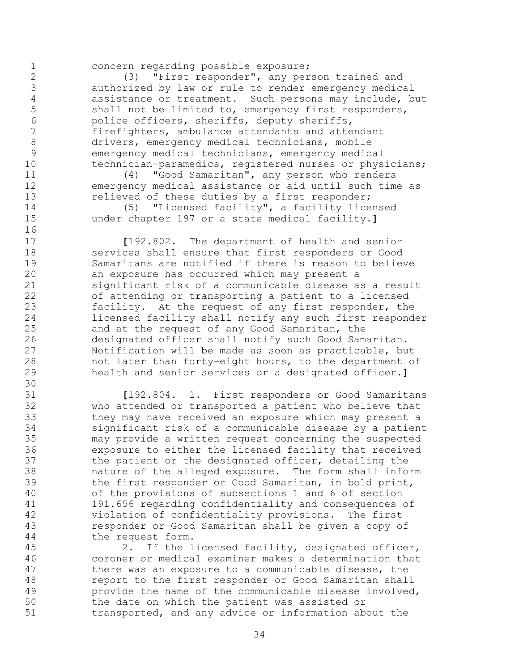concern regarding possible exposure;

 (3) "First responder", any person trained and authorized by law or rule to render emergency medical assistance or treatment. Such persons may include, but shall not be limited to, emergency first responders, 6 police officers, sheriffs, deputy sheriffs,<br>7 firefighters, ambulance attendants and atte firefighters, ambulance attendants and attendant drivers, emergency medical technicians, mobile emergency medical technicians, emergency medical 10 technician-paramedics, registered nurses or physicians;

 (4) "Good Samaritan", any person who renders emergency medical assistance or aid until such time as 13 relieved of these duties by a first responder;

 (5) "Licensed facility", a facility licensed under chapter 197 or a state medical facility.**]**

 **[**192.802. The department of health and senior services shall ensure that first responders or Good Samaritans are notified if there is reason to believe an exposure has occurred which may present a significant risk of a communicable disease as a result of attending or transporting a patient to a licensed facility. At the request of any first responder, the licensed facility shall notify any such first responder and at the request of any Good Samaritan, the designated officer shall notify such Good Samaritan. Notification will be made as soon as practicable, but not later than forty-eight hours, to the department of health and senior services or a designated officer.**]**

 **[**192.804. 1. First responders or Good Samaritans who attended or transported a patient who believe that they may have received an exposure which may present a significant risk of a communicable disease by a patient may provide a written request concerning the suspected exposure to either the licensed facility that received the patient or the designated officer, detailing the nature of the alleged exposure. The form shall inform the first responder or Good Samaritan, in bold print, of the provisions of subsections 1 and 6 of section 191.656 regarding confidentiality and consequences of violation of confidentiality provisions. The first responder or Good Samaritan shall be given a copy of the request form.

 2. If the licensed facility, designated officer, coroner or medical examiner makes a determination that there was an exposure to a communicable disease, the report to the first responder or Good Samaritan shall provide the name of the communicable disease involved, the date on which the patient was assisted or transported, and any advice or information about the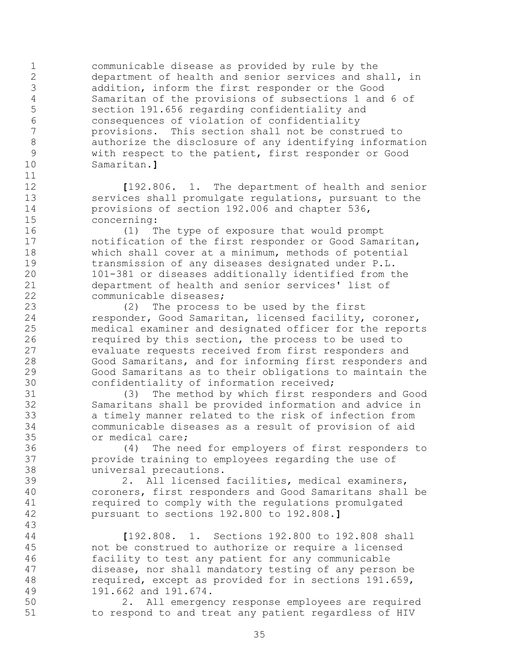communicable disease as provided by rule by the department of health and senior services and shall, in addition, inform the first responder or the Good Samaritan of the provisions of subsections 1 and 6 of section 191.656 regarding confidentiality and consequences of violation of confidentiality provisions. This section shall not be construed to authorize the disclosure of any identifying information with respect to the patient, first responder or Good Samaritan.**]**

 **[**192.806. 1. The department of health and senior services shall promulgate regulations, pursuant to the provisions of section 192.006 and chapter 536, concerning:

 (1) The type of exposure that would prompt notification of the first responder or Good Samaritan, which shall cover at a minimum, methods of potential transmission of any diseases designated under P.L. 20 101-381 or diseases additionally identified from the<br>21 department of health and senior services' list of department of health and senior services' list of communicable diseases;

 (2) The process to be used by the first responder, Good Samaritan, licensed facility, coroner, medical examiner and designated officer for the reports 26 required by this section, the process to be used to evaluate requests received from first responders and Good Samaritans, and for informing first responders and Good Samaritans as to their obligations to maintain the confidentiality of information received;

 (3) The method by which first responders and Good Samaritans shall be provided information and advice in a timely manner related to the risk of infection from communicable diseases as a result of provision of aid or medical care;

 (4) The need for employers of first responders to provide training to employees regarding the use of universal precautions.

 2. All licensed facilities, medical examiners, coroners, first responders and Good Samaritans shall be required to comply with the regulations promulgated pursuant to sections 192.800 to 192.808.**]**

 **[**192.808. 1. Sections 192.800 to 192.808 shall not be construed to authorize or require a licensed facility to test any patient for any communicable disease, nor shall mandatory testing of any person be required, except as provided for in sections 191.659, 191.662 and 191.674.

 2. All emergency response employees are required to respond to and treat any patient regardless of HIV